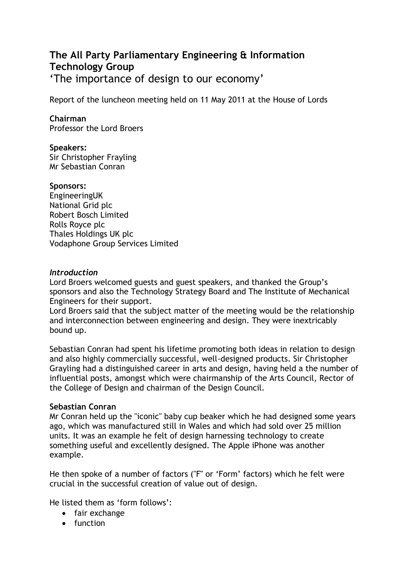# **The All Party Parliamentary Engineering & Information Technology Group** 'The importance of design to our economy'

Report of the luncheon meeting held on 11 May 2011 at the House of Lords

# **Chairman**

Professor the Lord Broers

#### **Speakers:**

Sir Christopher Frayling Mr Sebastian Conran

#### **Sponsors:**

EngineeringUK National Grid plc Robert Bosch Limited Rolls Royce plc Thales Holdings UK plc Vodaphone Group Services Limited

#### *Introduction*

Lord Broers welcomed guests and guest speakers, and thanked the Group's sponsors and also the Technology Strategy Board and The Institute of Mechanical Engineers for their support.

Lord Broers said that the subject matter of the meeting would be the relationship and interconnection between engineering and design. They were inextricably bound up.

Sebastian Conran had spent his lifetime promoting both ideas in relation to design and also highly commercially successful, well-designed products. Sir Christopher Grayling had a distinguished career in arts and design, having held a the number of influential posts, amongst which were chairmanship of the Arts Council, Rector of the College of Design and chairman of the Design Council.

## **Sebastian Conran**

Mr Conran held up the "iconic" baby cup beaker which he had designed some years ago, which was manufactured still in Wales and which had sold over 25 million units. It was an example he felt of design harnessing technology to create something useful and excellently designed. The Apple iPhone was another example.

He then spoke of a number of factors ("F" or 'Form' factors) which he felt were crucial in the successful creation of value out of design.

He listed them as 'form follows':

- fair exchange
- $\bullet$  function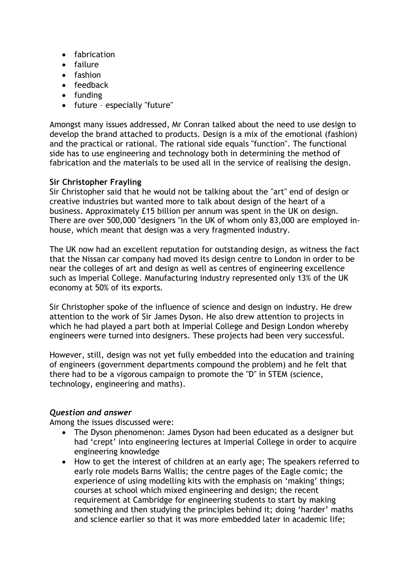- fabrication
- failure
- fashion
- feedback
- funding
- future especially "future"

Amongst many issues addressed, Mr Conran talked about the need to use design to develop the brand attached to products. Design is a mix of the emotional (fashion) and the practical or rational. The rational side equals "function". The functional side has to use engineering and technology both in determining the method of fabrication and the materials to be used all in the service of realising the design.

## **Sir Christopher Frayling**

Sir Christopher said that he would not be talking about the "art" end of design or creative industries but wanted more to talk about design of the heart of a business. Approximately £15 billion per annum was spent in the UK on design. There are over 500,000 "designers "in the UK of whom only 83,000 are employed inhouse, which meant that design was a very fragmented industry.

The UK now had an excellent reputation for outstanding design, as witness the fact that the Nissan car company had moved its design centre to London in order to be near the colleges of art and design as well as centres of engineering excellence such as Imperial College. Manufacturing industry represented only 13% of the UK economy at 50% of its exports.

Sir Christopher spoke of the influence of science and design on industry. He drew attention to the work of Sir James Dyson. He also drew attention to projects in which he had played a part both at Imperial College and Design London whereby engineers were turned into designers. These projects had been very successful.

However, still, design was not yet fully embedded into the education and training of engineers (government departments compound the problem) and he felt that there had to be a vigorous campaign to promote the "D" in STEM (science, technology, engineering and maths).

## *Question and answer*

Among the issues discussed were:

- The Dyson phenomenon: James Dyson had been educated as a designer but had 'crept' into engineering lectures at Imperial College in order to acquire engineering knowledge
- How to get the interest of children at an early age; The speakers referred to early role models Barns Wallis; the centre pages of the Eagle comic; the experience of using modelling kits with the emphasis on 'making' things; courses at school which mixed engineering and design; the recent requirement at Cambridge for engineering students to start by making something and then studying the principles behind it; doing 'harder' maths and science earlier so that it was more embedded later in academic life;